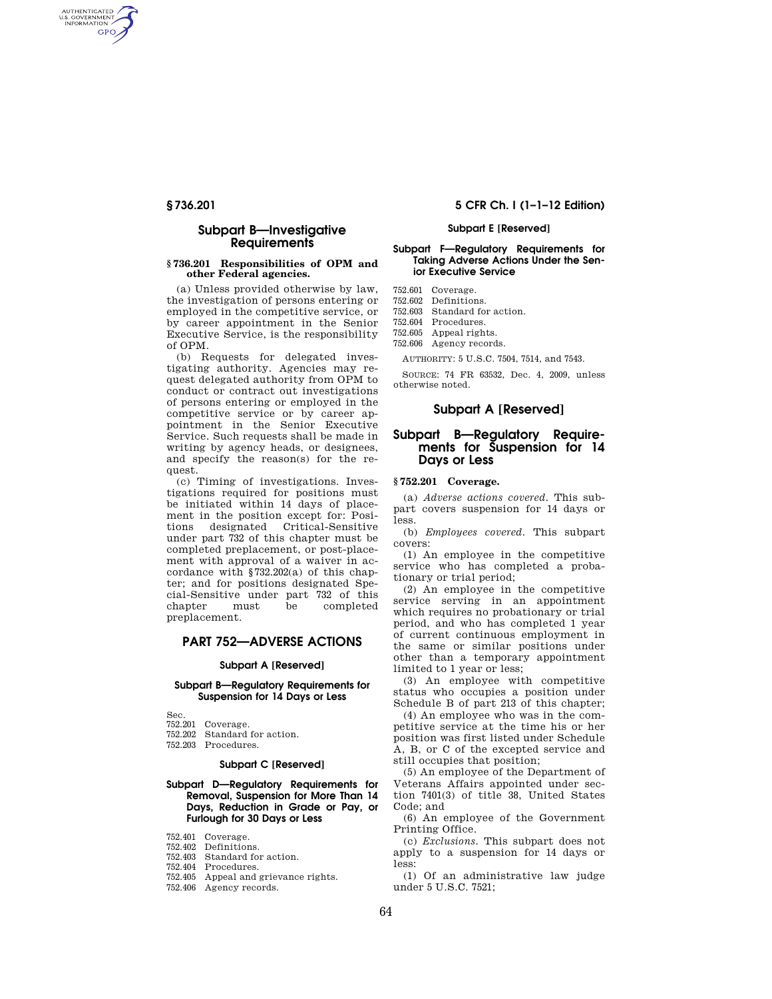AUTHENTICATED<br>U.S. GOVERNMENT<br>INFORMATION **GPO** 

## **Subpart B—Investigative Requirements**

#### **§ 736.201 Responsibilities of OPM and other Federal agencies.**

(a) Unless provided otherwise by law, the investigation of persons entering or employed in the competitive service, or by career appointment in the Senior Executive Service, is the responsibility of OPM.

(b) Requests for delegated investigating authority. Agencies may request delegated authority from OPM to conduct or contract out investigations of persons entering or employed in the competitive service or by career appointment in the Senior Executive Service. Such requests shall be made in writing by agency heads, or designees, and specify the reason(s) for the request.

(c) Timing of investigations. Investigations required for positions must be initiated within 14 days of placement in the position except for: Positions designated Critical-Sensitive under part 732 of this chapter must be completed preplacement, or post-placement with approval of a waiver in accordance with §732.202(a) of this chapter; and for positions designated Special-Sensitive under part 732 of this chapter must be completed preplacement.

# **PART 752—ADVERSE ACTIONS**

#### **Subpart A [Reserved]**

#### **Subpart B—Regulatory Requirements for Suspension for 14 Days or Less**

Sec.

752.201 Coverage.

752.202 Standard for action. 752.203 Procedures.

### **Subpart C [Reserved]**

#### **Subpart D—Regulatory Requirements for Removal, Suspension for More Than 14 Days, Reduction in Grade or Pay, or Furlough for 30 Days or Less**

752.401 Coverage.

- 752.402 Definitions.
- 752.403 Standard for action.
- 752.404 Procedures.
- 752.405 Appeal and grievance rights.
- 752.406 Agency records.

## **§ 736.201 5 CFR Ch. I (1–1–12 Edition)**

#### **Subpart E [Reserved]**

#### **Subpart F—Regulatory Requirements for Taking Adverse Actions Under the Senior Executive Service**

752.601 Coverage.

752.602 Definitions.

752.603 Standard for action.

752.604 Procedures. 752.605 Appeal rights.

752.606 Agency records.

AUTHORITY: 5 U.S.C. 7504, 7514, and 7543.

SOURCE: 74 FR 63532, Dec. 4, 2009, unless otherwise noted.

#### **Subpart A [Reserved]**

## **Subpart B—Regulatory Requirements for Suspension for 14 Days or Less**

#### **§ 752.201 Coverage.**

(a) *Adverse actions covered.* This subpart covers suspension for 14 days or less.

(b) *Employees covered.* This subpart covers:

(1) An employee in the competitive service who has completed a probationary or trial period;

(2) An employee in the competitive service serving in an appointment which requires no probationary or trial period, and who has completed 1 year of current continuous employment in the same or similar positions under other than a temporary appointment limited to 1 year or less;

(3) An employee with competitive status who occupies a position under Schedule B of part 213 of this chapter;

(4) An employee who was in the competitive service at the time his or her position was first listed under Schedule A, B, or C of the excepted service and still occupies that position;

(5) An employee of the Department of Veterans Affairs appointed under section 7401(3) of title 38, United States Code; and

(6) An employee of the Government Printing Office.

(c) *Exclusions.* This subpart does not apply to a suspension for 14 days or less:

(1) Of an administrative law judge under 5 U.S.C. 7521;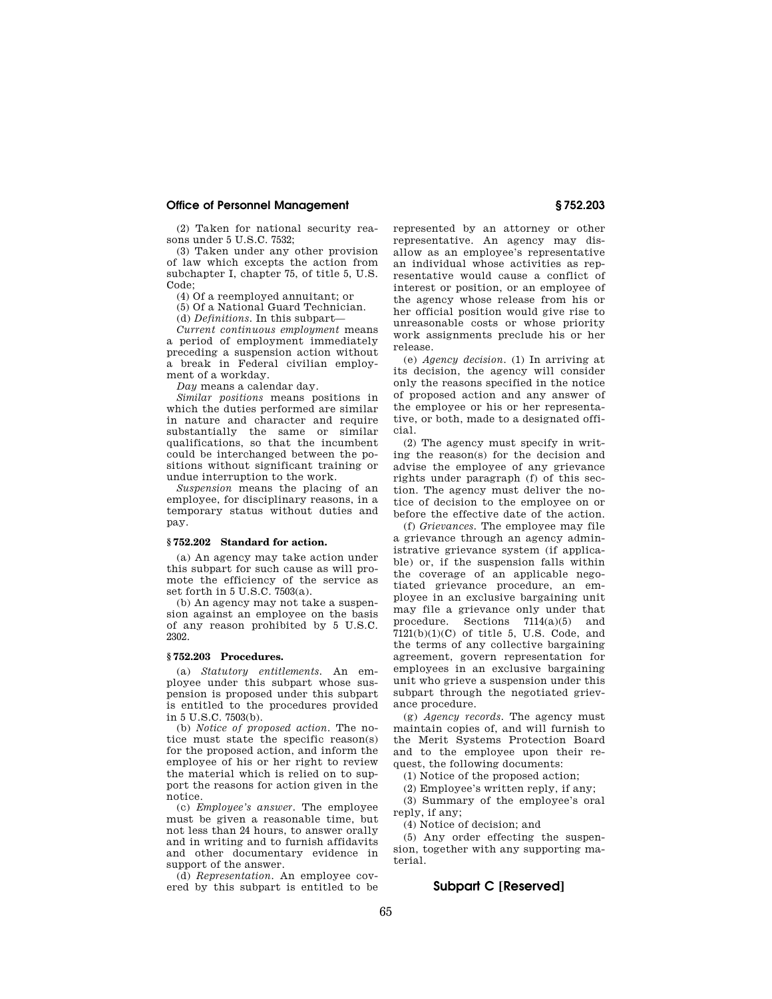(2) Taken for national security reasons under 5 U.S.C. 7532;

(3) Taken under any other provision of law which excepts the action from subchapter I, chapter 75, of title 5, U.S. Code;

(4) Of a reemployed annuitant; or

(5) Of a National Guard Technician.

(d) *Definitions.* In this subpart—

*Current continuous employment* means a period of employment immediately preceding a suspension action without a break in Federal civilian employment of a workday.

*Day* means a calendar day.

*Similar positions* means positions in which the duties performed are similar in nature and character and require substantially the same or similar qualifications, so that the incumbent could be interchanged between the positions without significant training or undue interruption to the work.

*Suspension* means the placing of an employee, for disciplinary reasons, in a temporary status without duties and pay.

#### **§ 752.202 Standard for action.**

(a) An agency may take action under this subpart for such cause as will promote the efficiency of the service as set forth in 5 U.S.C. 7503(a).

(b) An agency may not take a suspension against an employee on the basis of any reason prohibited by 5 U.S.C. 2302.

### **§ 752.203 Procedures.**

(a) *Statutory entitlements.* An employee under this subpart whose suspension is proposed under this subpart is entitled to the procedures provided in 5 U.S.C. 7503(b).

(b) *Notice of proposed action.* The notice must state the specific reason(s) for the proposed action, and inform the employee of his or her right to review the material which is relied on to support the reasons for action given in the notice.

(c) *Employee's answer.* The employee must be given a reasonable time, but not less than 24 hours, to answer orally and in writing and to furnish affidavits and other documentary evidence in support of the answer.

(d) *Representation.* An employee covered by this subpart is entitled to be represented by an attorney or other representative. An agency may disallow as an employee's representative an individual whose activities as representative would cause a conflict of interest or position, or an employee of the agency whose release from his or her official position would give rise to unreasonable costs or whose priority work assignments preclude his or her release.

(e) *Agency decision.* (1) In arriving at its decision, the agency will consider only the reasons specified in the notice of proposed action and any answer of the employee or his or her representative, or both, made to a designated official.

(2) The agency must specify in writing the reason(s) for the decision and advise the employee of any grievance rights under paragraph (f) of this section. The agency must deliver the notice of decision to the employee on or before the effective date of the action.

(f) *Grievances.* The employee may file a grievance through an agency administrative grievance system (if applicable) or, if the suspension falls within the coverage of an applicable negotiated grievance procedure, an employee in an exclusive bargaining unit may file a grievance only under that procedure. Sections 7114(a)(5) and  $7121(b)(1)(C)$  of title 5, U.S. Code, and the terms of any collective bargaining agreement, govern representation for employees in an exclusive bargaining unit who grieve a suspension under this subpart through the negotiated grievance procedure.

(g) *Agency records.* The agency must maintain copies of, and will furnish to the Merit Systems Protection Board and to the employee upon their request, the following documents:

(1) Notice of the proposed action;

(2) Employee's written reply, if any;

(3) Summary of the employee's oral reply, if any;

(4) Notice of decision; and

(5) Any order effecting the suspension, together with any supporting material.

# **Subpart C [Reserved]**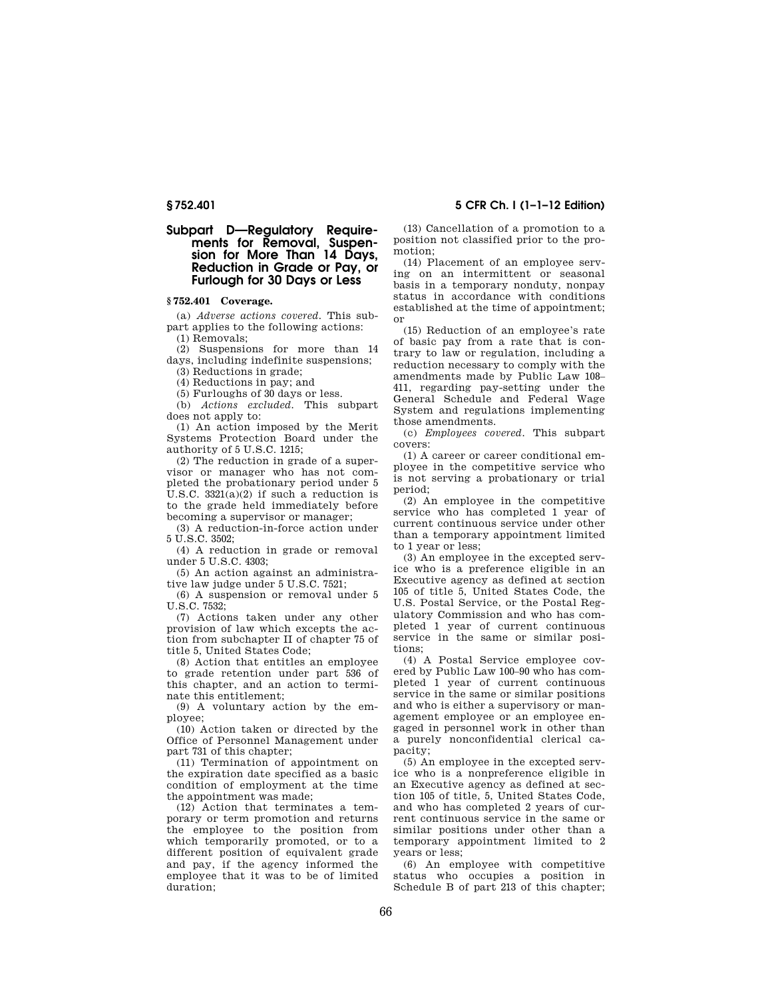## **§ 752.401 5 CFR Ch. I (1–1–12 Edition)**

# **Subpart D—Regulatory Requirements for Removal, Suspension for More Than 14 Days, Reduction in Grade or Pay, or Furlough for 30 Days or Less**

## **§ 752.401 Coverage.**

(a) *Adverse actions covered.* This subpart applies to the following actions: (1) Removals;

(2) Suspensions for more than 14

days, including indefinite suspensions; (3) Reductions in grade;

(4) Reductions in pay; and

(5) Furloughs of 30 days or less.

(b) *Actions excluded.* This subpart does not apply to:

(1) An action imposed by the Merit Systems Protection Board under the authority of 5 U.S.C. 1215;

(2) The reduction in grade of a supervisor or manager who has not completed the probationary period under 5 U.S.C.  $3321(a)(2)$  if such a reduction is to the grade held immediately before becoming a supervisor or manager;

(3) A reduction-in-force action under 5 U.S.C. 3502;

(4) A reduction in grade or removal under 5 U.S.C. 4303;

(5) An action against an administrative law judge under 5 U.S.C. 7521;

(6) A suspension or removal under 5 U.S.C. 7532;

(7) Actions taken under any other provision of law which excepts the action from subchapter II of chapter 75 of title 5, United States Code;

(8) Action that entitles an employee to grade retention under part 536 of this chapter, and an action to terminate this entitlement;

(9) A voluntary action by the employee;

(10) Action taken or directed by the Office of Personnel Management under part 731 of this chapter;

(11) Termination of appointment on the expiration date specified as a basic condition of employment at the time the appointment was made;

(12) Action that terminates a temporary or term promotion and returns the employee to the position from which temporarily promoted, or to a different position of equivalent grade and pay, if the agency informed the employee that it was to be of limited duration;

(13) Cancellation of a promotion to a

position not classified prior to the promotion;

(14) Placement of an employee serving on an intermittent or seasonal basis in a temporary nonduty, nonpay status in accordance with conditions established at the time of appointment; or

(15) Reduction of an employee's rate of basic pay from a rate that is contrary to law or regulation, including a reduction necessary to comply with the amendments made by Public Law 108– 411, regarding pay-setting under the General Schedule and Federal Wage System and regulations implementing those amendments.

(c) *Employees covered.* This subpart covers:

(1) A career or career conditional employee in the competitive service who is not serving a probationary or trial period;

(2) An employee in the competitive service who has completed 1 year of current continuous service under other than a temporary appointment limited to 1 year or less;

(3) An employee in the excepted service who is a preference eligible in an Executive agency as defined at section 105 of title 5, United States Code, the U.S. Postal Service, or the Postal Regulatory Commission and who has completed 1 year of current continuous service in the same or similar positions;

(4) A Postal Service employee covered by Public Law 100–90 who has completed 1 year of current continuous service in the same or similar positions and who is either a supervisory or management employee or an employee engaged in personnel work in other than a purely nonconfidential clerical capacity;

(5) An employee in the excepted service who is a nonpreference eligible in an Executive agency as defined at section 105 of title, 5, United States Code, and who has completed 2 years of current continuous service in the same or similar positions under other than a temporary appointment limited to 2 years or less;

(6) An employee with competitive status who occupies a position in Schedule B of part 213 of this chapter;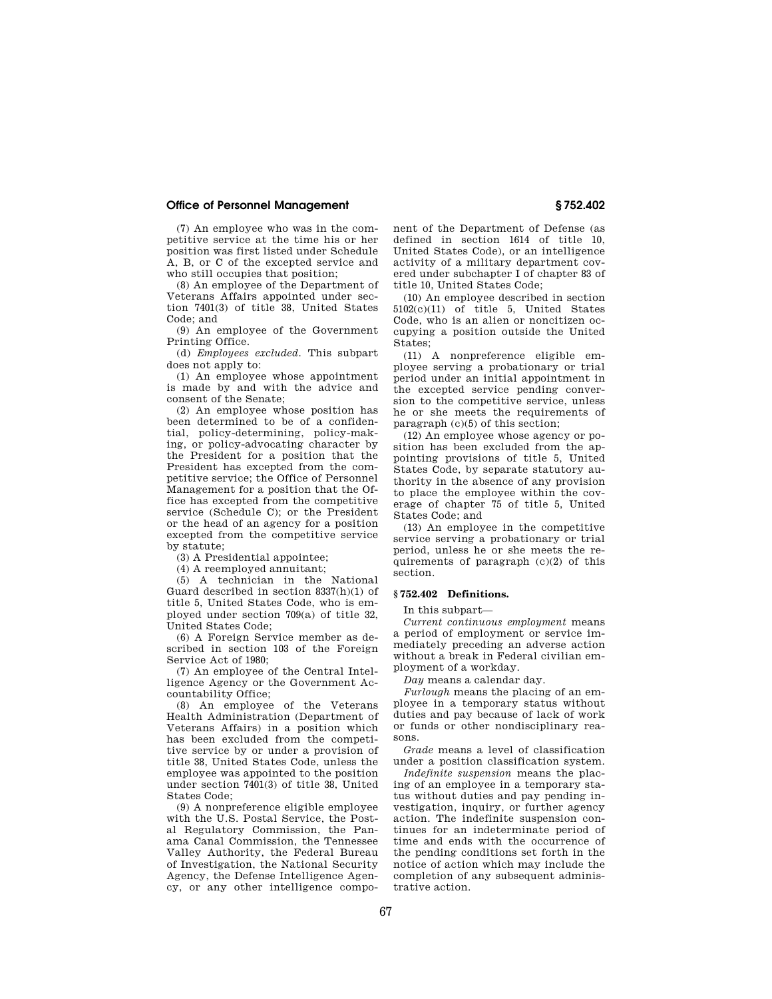(7) An employee who was in the competitive service at the time his or her position was first listed under Schedule A, B, or C of the excepted service and who still occupies that position;

(8) An employee of the Department of Veterans Affairs appointed under section 7401(3) of title 38, United States Code; and

(9) An employee of the Government Printing Office.

(d) *Employees excluded.* This subpart does not apply to:

(1) An employee whose appointment is made by and with the advice and consent of the Senate;

(2) An employee whose position has been determined to be of a confidential, policy-determining, policy-making, or policy-advocating character by the President for a position that the President has excepted from the competitive service; the Office of Personnel Management for a position that the Office has excepted from the competitive service (Schedule C); or the President or the head of an agency for a position excepted from the competitive service by statute;

(3) A Presidential appointee;

(4) A reemployed annuitant;

(5) A technician in the National Guard described in section 8337(h)(1) of title 5, United States Code, who is employed under section 709(a) of title 32, United States Code;

(6) A Foreign Service member as described in section 103 of the Foreign Service Act of 1980;

(7) An employee of the Central Intelligence Agency or the Government Accountability Office;

(8) An employee of the Veterans Health Administration (Department of Veterans Affairs) in a position which has been excluded from the competitive service by or under a provision of title 38, United States Code, unless the employee was appointed to the position under section 7401(3) of title 38, United States Code;

(9) A nonpreference eligible employee with the U.S. Postal Service, the Postal Regulatory Commission, the Panama Canal Commission, the Tennessee Valley Authority, the Federal Bureau of Investigation, the National Security Agency, the Defense Intelligence Agency, or any other intelligence component of the Department of Defense (as defined in section 1614 of title 10, United States Code), or an intelligence activity of a military department covered under subchapter I of chapter 83 of title 10, United States Code;

(10) An employee described in section 5102(c)(11) of title 5, United States Code, who is an alien or noncitizen occupying a position outside the United States;

(11) A nonpreference eligible employee serving a probationary or trial period under an initial appointment in the excepted service pending conversion to the competitive service, unless he or she meets the requirements of paragraph (c)(5) of this section;

(12) An employee whose agency or position has been excluded from the appointing provisions of title 5, United States Code, by separate statutory authority in the absence of any provision to place the employee within the coverage of chapter 75 of title 5, United States Code; and

(13) An employee in the competitive service serving a probationary or trial period, unless he or she meets the requirements of paragraph (c)(2) of this section.

#### **§ 752.402 Definitions.**

In this subpart—

*Current continuous employment* means a period of employment or service immediately preceding an adverse action without a break in Federal civilian employment of a workday.

*Day* means a calendar day.

*Furlough* means the placing of an employee in a temporary status without duties and pay because of lack of work or funds or other nondisciplinary reasons.

*Grade* means a level of classification under a position classification system.

*Indefinite suspension* means the placing of an employee in a temporary status without duties and pay pending investigation, inquiry, or further agency action. The indefinite suspension continues for an indeterminate period of time and ends with the occurrence of the pending conditions set forth in the notice of action which may include the completion of any subsequent administrative action.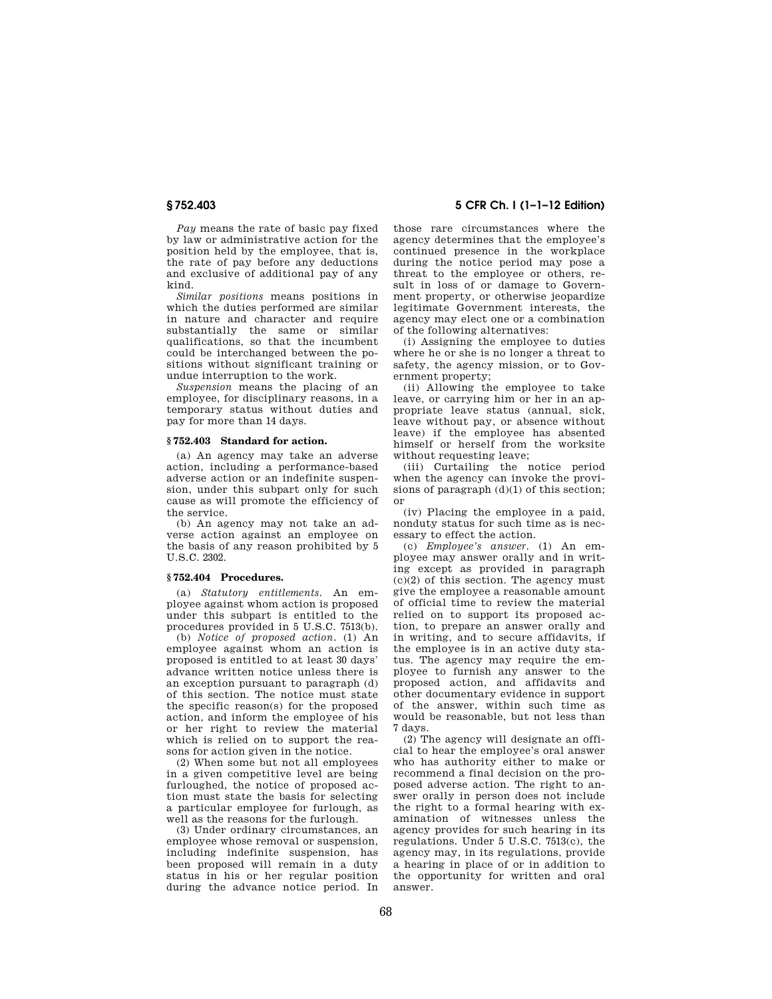*Pay* means the rate of basic pay fixed by law or administrative action for the position held by the employee, that is, the rate of pay before any deductions and exclusive of additional pay of any kind.

*Similar positions* means positions in which the duties performed are similar in nature and character and require substantially the same or similar qualifications, so that the incumbent could be interchanged between the positions without significant training or undue interruption to the work.

*Suspension* means the placing of an employee, for disciplinary reasons, in a temporary status without duties and pay for more than 14 days.

#### **§ 752.403 Standard for action.**

(a) An agency may take an adverse action, including a performance-based adverse action or an indefinite suspension, under this subpart only for such cause as will promote the efficiency of the service.

(b) An agency may not take an adverse action against an employee on the basis of any reason prohibited by 5 U.S.C. 2302.

## **§ 752.404 Procedures.**

(a) *Statutory entitlements.* An employee against whom action is proposed under this subpart is entitled to the procedures provided in 5 U.S.C. 7513(b).

(b) *Notice of proposed action.* (1) An employee against whom an action is proposed is entitled to at least 30 days' advance written notice unless there is an exception pursuant to paragraph (d) of this section. The notice must state the specific reason(s) for the proposed action, and inform the employee of his or her right to review the material which is relied on to support the reasons for action given in the notice.

(2) When some but not all employees in a given competitive level are being furloughed, the notice of proposed action must state the basis for selecting a particular employee for furlough, as well as the reasons for the furlough.

(3) Under ordinary circumstances, an employee whose removal or suspension, including indefinite suspension, has been proposed will remain in a duty status in his or her regular position during the advance notice period. In

**§ 752.403 5 CFR Ch. I (1–1–12 Edition)** 

those rare circumstances where the agency determines that the employee's continued presence in the workplace during the notice period may pose a threat to the employee or others, result in loss of or damage to Government property, or otherwise jeopardize legitimate Government interests, the agency may elect one or a combination of the following alternatives:

(i) Assigning the employee to duties where he or she is no longer a threat to safety, the agency mission, or to Government property;

(ii) Allowing the employee to take leave, or carrying him or her in an appropriate leave status (annual, sick, leave without pay, or absence without leave) if the employee has absented himself or herself from the worksite without requesting leave;

(iii) Curtailing the notice period when the agency can invoke the provisions of paragraph (d)(1) of this section; or

(iv) Placing the employee in a paid, nonduty status for such time as is necessary to effect the action.

(c) *Employee's answer.* (1) An employee may answer orally and in writing except as provided in paragraph  $(c)(2)$  of this section. The agency must give the employee a reasonable amount of official time to review the material relied on to support its proposed action, to prepare an answer orally and in writing, and to secure affidavits, if the employee is in an active duty status. The agency may require the employee to furnish any answer to the proposed action, and affidavits and other documentary evidence in support of the answer, within such time as would be reasonable, but not less than 7 days.

(2) The agency will designate an official to hear the employee's oral answer who has authority either to make or recommend a final decision on the proposed adverse action. The right to answer orally in person does not include the right to a formal hearing with examination of witnesses unless the agency provides for such hearing in its regulations. Under 5 U.S.C. 7513(c), the agency may, in its regulations, provide a hearing in place of or in addition to the opportunity for written and oral answer.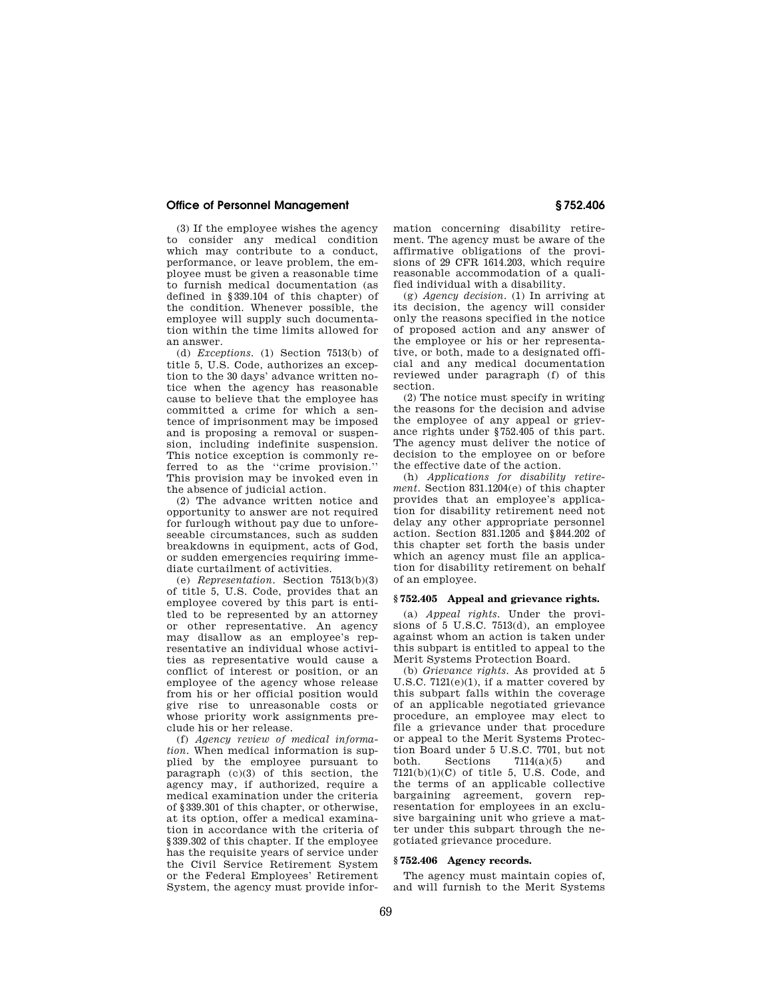(3) If the employee wishes the agency to consider any medical condition which may contribute to a conduct, performance, or leave problem, the employee must be given a reasonable time to furnish medical documentation (as defined in §339.104 of this chapter) of the condition. Whenever possible, the employee will supply such documentation within the time limits allowed for an answer.

(d) *Exceptions.* (1) Section 7513(b) of title 5, U.S. Code, authorizes an exception to the 30 days' advance written notice when the agency has reasonable cause to believe that the employee has committed a crime for which a sentence of imprisonment may be imposed and is proposing a removal or suspension, including indefinite suspension. This notice exception is commonly referred to as the ''crime provision.'' This provision may be invoked even in the absence of judicial action.

(2) The advance written notice and opportunity to answer are not required for furlough without pay due to unforeseeable circumstances, such as sudden breakdowns in equipment, acts of God, or sudden emergencies requiring immediate curtailment of activities.

(e) *Representation.* Section 7513(b)(3) of title 5, U.S. Code, provides that an employee covered by this part is entitled to be represented by an attorney or other representative. An agency may disallow as an employee's representative an individual whose activities as representative would cause a conflict of interest or position, or an employee of the agency whose release from his or her official position would give rise to unreasonable costs or whose priority work assignments preclude his or her release.

(f) *Agency review of medical information.* When medical information is supplied by the employee pursuant to paragraph (c)(3) of this section, the agency may, if authorized, require a medical examination under the criteria of §339.301 of this chapter, or otherwise, at its option, offer a medical examination in accordance with the criteria of §339.302 of this chapter. If the employee has the requisite years of service under the Civil Service Retirement System or the Federal Employees' Retirement System, the agency must provide information concerning disability retirement. The agency must be aware of the affirmative obligations of the provisions of 29 CFR 1614.203, which require reasonable accommodation of a qualified individual with a disability.

(g) *Agency decision.* (1) In arriving at its decision, the agency will consider only the reasons specified in the notice of proposed action and any answer of the employee or his or her representative, or both, made to a designated official and any medical documentation reviewed under paragraph (f) of this section.

(2) The notice must specify in writing the reasons for the decision and advise the employee of any appeal or grievance rights under §752.405 of this part. The agency must deliver the notice of decision to the employee on or before the effective date of the action.

(h) *Applications for disability retirement.* Section 831.1204(e) of this chapter provides that an employee's application for disability retirement need not delay any other appropriate personnel action. Section 831.1205 and §844.202 of this chapter set forth the basis under which an agency must file an application for disability retirement on behalf of an employee.

#### **§ 752.405 Appeal and grievance rights.**

(a) *Appeal rights.* Under the provisions of 5 U.S.C. 7513(d), an employee against whom an action is taken under this subpart is entitled to appeal to the Merit Systems Protection Board.

(b) *Grievance rights.* As provided at 5 U.S.C. 7121(e)(1), if a matter covered by this subpart falls within the coverage of an applicable negotiated grievance procedure, an employee may elect to file a grievance under that procedure or appeal to the Merit Systems Protection Board under 5 U.S.C. 7701, but not<br>both. Sections  $7114(a)(5)$  and Sections  $7114(a)(5)$  and  $7121(b)(1)(C)$  of title 5, U.S. Code, and the terms of an applicable collective bargaining agreement, govern representation for employees in an exclusive bargaining unit who grieve a matter under this subpart through the negotiated grievance procedure.

#### **§ 752.406 Agency records.**

The agency must maintain copies of, and will furnish to the Merit Systems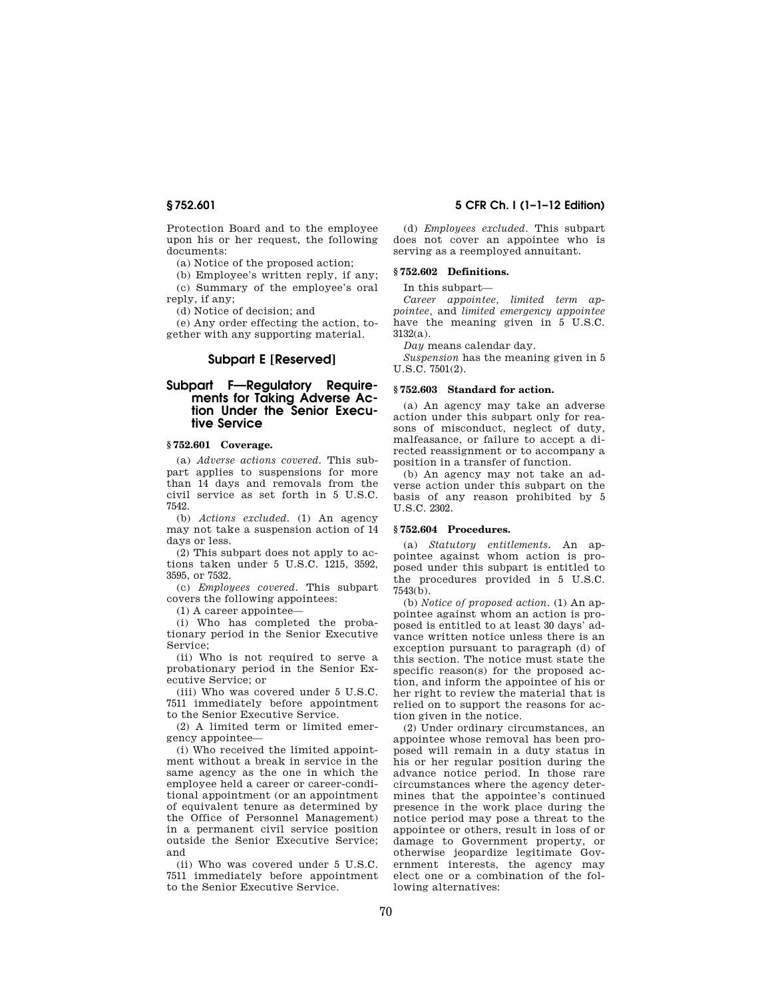Protection Board and to the employee upon his or her request, the following documents:

(a) Notice of the proposed action;

(b) Employee's written reply, if any; (c) Summary of the employee's oral reply, if any;

(d) Notice of decision; and

(e) Any order effecting the action, to-

gether with any supporting material.

# **Subpart E [Reserved]**

# **Subpart F—Regulatory Requirements for Taking Adverse Action Under the Senior Executive Service**

# **§ 752.601 Coverage.**

(a) *Adverse actions covered.* This subpart applies to suspensions for more than 14 days and removals from the civil service as set forth in 5 U.S.C. 7542.

(b) *Actions excluded.* (1) An agency may not take a suspension action of 14 days or less.

(2) This subpart does not apply to actions taken under 5 U.S.C. 1215, 3592, 3595, or 7532.

(c) *Employees covered.* This subpart covers the following appointees:

(1) A career appointee—

(i) Who has completed the probationary period in the Senior Executive Service;

(ii) Who is not required to serve a probationary period in the Senior Executive Service; or

(iii) Who was covered under 5 U.S.C. 7511 immediately before appointment to the Senior Executive Service.

(2) A limited term or limited emergency appointee—

(i) Who received the limited appointment without a break in service in the same agency as the one in which the employee held a career or career-conditional appointment (or an appointment of equivalent tenure as determined by the Office of Personnel Management) in a permanent civil service position outside the Senior Executive Service; and

(ii) Who was covered under 5 U.S.C. 7511 immediately before appointment to the Senior Executive Service.

**§ 752.601 5 CFR Ch. I (1–1–12 Edition)** 

(d) *Employees excluded.* This subpart does not cover an appointee who is serving as a reemployed annuitant.

## **§ 752.602 Definitions.**

In this subpart—

*Career appointee, limited term appointee,* and *limited emergency appointee*  have the meaning given in 5 U.S.C. 3132(a).

*Day* means calendar day.

*Suspension* has the meaning given in 5 U.S.C. 7501(2).

#### **§ 752.603 Standard for action.**

(a) An agency may take an adverse action under this subpart only for reasons of misconduct, neglect of duty, malfeasance, or failure to accept a directed reassignment or to accompany a position in a transfer of function.

(b) An agency may not take an adverse action under this subpart on the basis of any reason prohibited by 5 U.S.C. 2302.

#### **§ 752.604 Procedures.**

(a) *Statutory entitlements.* An appointee against whom action is proposed under this subpart is entitled to the procedures provided in 5 U.S.C. 7543(b).

(b) *Notice of proposed action.* (1) An appointee against whom an action is proposed is entitled to at least 30 days' advance written notice unless there is an exception pursuant to paragraph (d) of this section. The notice must state the specific reason(s) for the proposed action, and inform the appointee of his or her right to review the material that is relied on to support the reasons for action given in the notice.

(2) Under ordinary circumstances, an appointee whose removal has been proposed will remain in a duty status in his or her regular position during the advance notice period. In those rare circumstances where the agency determines that the appointee's continued presence in the work place during the notice period may pose a threat to the appointee or others, result in loss of or damage to Government property, or otherwise jeopardize legitimate Government interests, the agency may elect one or a combination of the following alternatives: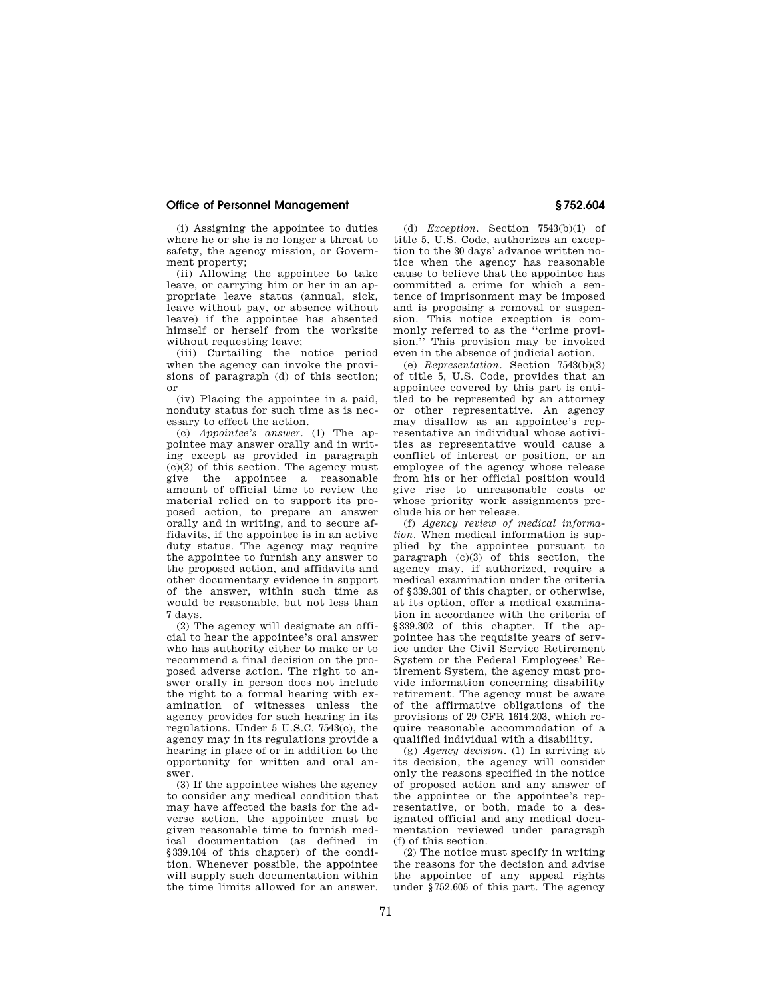(i) Assigning the appointee to duties where he or she is no longer a threat to safety, the agency mission, or Government property;

(ii) Allowing the appointee to take leave, or carrying him or her in an appropriate leave status (annual, sick, leave without pay, or absence without leave) if the appointee has absented himself or herself from the worksite without requesting leave;

(iii) Curtailing the notice period when the agency can invoke the provisions of paragraph (d) of this section; or

(iv) Placing the appointee in a paid, nonduty status for such time as is necessary to effect the action.

(c) *Appointee's answer.* (1) The appointee may answer orally and in writing except as provided in paragraph  $(c)(2)$  of this section. The agency must give the appointee a reasonable amount of official time to review the material relied on to support its proposed action, to prepare an answer orally and in writing, and to secure affidavits, if the appointee is in an active duty status. The agency may require the appointee to furnish any answer to the proposed action, and affidavits and other documentary evidence in support of the answer, within such time as would be reasonable, but not less than 7 days.

(2) The agency will designate an official to hear the appointee's oral answer who has authority either to make or to recommend a final decision on the proposed adverse action. The right to answer orally in person does not include the right to a formal hearing with examination of witnesses unless the agency provides for such hearing in its regulations. Under 5 U.S.C. 7543(c), the agency may in its regulations provide a hearing in place of or in addition to the opportunity for written and oral answer.

(3) If the appointee wishes the agency to consider any medical condition that may have affected the basis for the adverse action, the appointee must be given reasonable time to furnish medical documentation (as defined in §339.104 of this chapter) of the condition. Whenever possible, the appointee will supply such documentation within the time limits allowed for an answer.

(d) *Exception.* Section 7543(b)(1) of title 5, U.S. Code, authorizes an exception to the 30 days' advance written notice when the agency has reasonable cause to believe that the appointee has committed a crime for which a sentence of imprisonment may be imposed and is proposing a removal or suspension. This notice exception is commonly referred to as the ''crime provision.'' This provision may be invoked even in the absence of judicial action.

(e) *Representation.* Section 7543(b)(3) of title 5, U.S. Code, provides that an appointee covered by this part is entitled to be represented by an attorney or other representative. An agency may disallow as an appointee's representative an individual whose activities as representative would cause a conflict of interest or position, or an employee of the agency whose release from his or her official position would give rise to unreasonable costs or whose priority work assignments preclude his or her release.

(f) *Agency review of medical information.* When medical information is supplied by the appointee pursuant to paragraph  $(c)(3)$  of this section, the agency may, if authorized, require a medical examination under the criteria of §339.301 of this chapter, or otherwise, at its option, offer a medical examination in accordance with the criteria of §339.302 of this chapter. If the appointee has the requisite years of service under the Civil Service Retirement System or the Federal Employees' Retirement System, the agency must provide information concerning disability retirement. The agency must be aware of the affirmative obligations of the provisions of 29 CFR 1614.203, which require reasonable accommodation of a qualified individual with a disability.

(g) *Agency decision.* (1) In arriving at its decision, the agency will consider only the reasons specified in the notice of proposed action and any answer of the appointee or the appointee's representative, or both, made to a designated official and any medical documentation reviewed under paragraph (f) of this section.

(2) The notice must specify in writing the reasons for the decision and advise the appointee of any appeal rights under §752.605 of this part. The agency